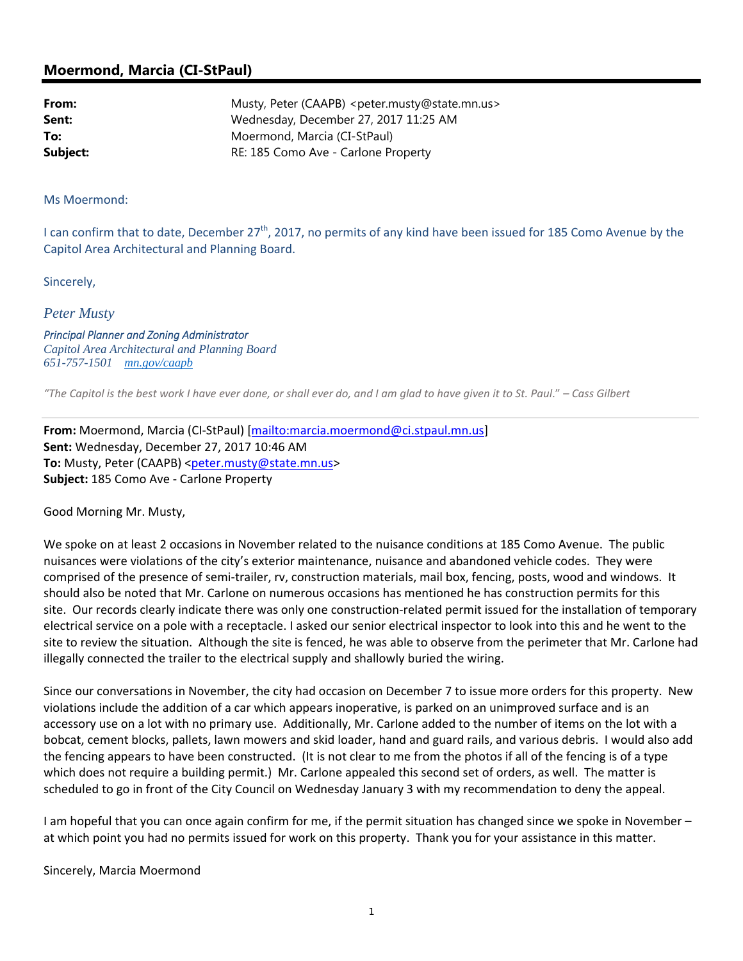## **Moermond, Marcia (CI-StPaul)**

| From:    | Musty, Peter (CAAPB) <peter.musty@state.mn.us></peter.musty@state.mn.us> |
|----------|--------------------------------------------------------------------------|
| Sent:    | Wednesday, December 27, 2017 11:25 AM                                    |
| To:      | Moermond, Marcia (CI-StPaul)                                             |
| Subject: | RE: 185 Como Ave - Carlone Property                                      |

Ms Moermond:

I can confirm that to date, December  $27<sup>th</sup>$ , 2017, no permits of any kind have been issued for 185 Como Avenue by the Capitol Area Architectural and Planning Board.

Sincerely,

*Peter Musty* 

*Principal Planner and Zoning Administrator Capitol Area Architectural and Planning Board 651-757-1501 mn.gov/caapb*

"The Capitol is the best work I have ever done, or shall ever do, and I am glad to have given it to St. Paul." - Cass Gilbert

**From:** Moermond, Marcia (CI‐StPaul) [mailto:marcia.moermond@ci.stpaul.mn.us] **Sent:** Wednesday, December 27, 2017 10:46 AM To: Musty, Peter (CAAPB) <peter.musty@state.mn.us> **Subject:** 185 Como Ave ‐ Carlone Property

Good Morning Mr. Musty,

We spoke on at least 2 occasions in November related to the nuisance conditions at 185 Como Avenue. The public nuisances were violations of the city's exterior maintenance, nuisance and abandoned vehicle codes. They were comprised of the presence of semi‐trailer, rv, construction materials, mail box, fencing, posts, wood and windows. It should also be noted that Mr. Carlone on numerous occasions has mentioned he has construction permits for this site. Our records clearly indicate there was only one construction-related permit issued for the installation of temporary electrical service on a pole with a receptacle. I asked our senior electrical inspector to look into this and he went to the site to review the situation. Although the site is fenced, he was able to observe from the perimeter that Mr. Carlone had illegally connected the trailer to the electrical supply and shallowly buried the wiring.

Since our conversations in November, the city had occasion on December 7 to issue more orders for this property. New violations include the addition of a car which appears inoperative, is parked on an unimproved surface and is an accessory use on a lot with no primary use. Additionally, Mr. Carlone added to the number of items on the lot with a bobcat, cement blocks, pallets, lawn mowers and skid loader, hand and guard rails, and various debris. I would also add the fencing appears to have been constructed. (It is not clear to me from the photos if all of the fencing is of a type which does not require a building permit.) Mr. Carlone appealed this second set of orders, as well. The matter is scheduled to go in front of the City Council on Wednesday January 3 with my recommendation to deny the appeal.

I am hopeful that you can once again confirm for me, if the permit situation has changed since we spoke in November – at which point you had no permits issued for work on this property. Thank you for your assistance in this matter.

Sincerely, Marcia Moermond